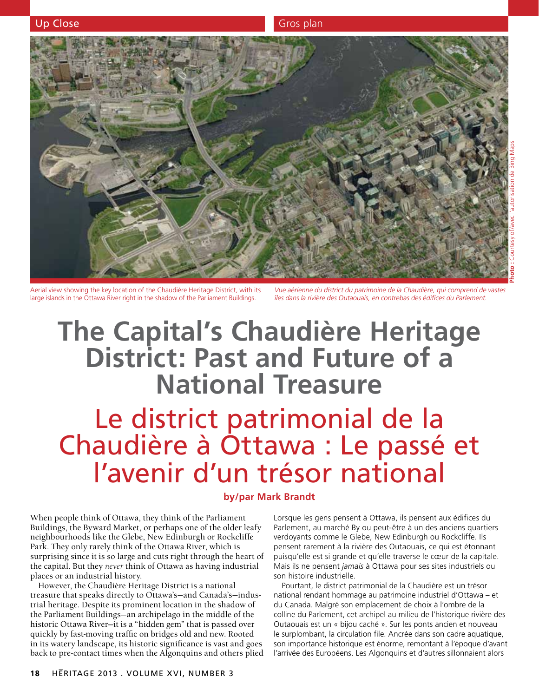

Aerial view showing the key location of the Chaudière Heritage District, with its large islands in the Ottawa River right in the shadow of the Parliament Buildings.

*Vue aérienne du district du patrimoine de la Chaudière, qui comprend de vastes îles dans la rivière des Outaouais, en contrebas des édifices du Parlement.*

# **The Capital's Chaudière Heritage District: Past and Future of a National Treasure**

## Le district patrimonial de la Chaudière à Ottawa : Le passé et l'avenir d'un trésor national

### **by/par Mark Brandt**

When people think of Ottawa, they think of the Parliament Buildings, the Byward Market, or perhaps one of the older leafy neighbourhoods like the Glebe, New Edinburgh or Rockcliffe Park. They only rarely think of the Ottawa River, which is surprising since it is so large and cuts right through the heart of the capital. But they *never* think of Ottawa as having industrial places or an industrial history.

However, the Chaudière Heritage District is a national treasure that speaks directly to Ottawa's—and Canada's—industrial heritage. Despite its prominent location in the shadow of the Parliament Buildings—an archipelago in the middle of the historic Ottawa River—it is a "hidden gem" that is passed over quickly by fast-moving traffic on bridges old and new. Rooted in its watery landscape, its historic significance is vast and goes back to pre-contact times when the Algonquins and others plied

Lorsque les gens pensent à Ottawa, ils pensent aux édifices du Parlement, au marché By ou peut-être à un des anciens quartiers verdoyants comme le Glebe, New Edinburgh ou Rockcliffe. Ils pensent rarement à la rivière des Outaouais, ce qui est étonnant puisqu'elle est si grande et qu'elle traverse le cœur de la capitale. Mais ils ne pensent *jamais* à Ottawa pour ses sites industriels ou son histoire industrielle.

Pourtant, le district patrimonial de la Chaudière est un trésor national rendant hommage au patrimoine industriel d'Ottawa – et du Canada. Malgré son emplacement de choix à l'ombre de la colline du Parlement, cet archipel au milieu de l'historique rivière des Outaouais est un « bijou caché ». Sur les ponts ancien et nouveau le surplombant, la circulation file. Ancrée dans son cadre aquatique, son importance historique est énorme, remontant à l'époque d'avant l'arrivée des Européens. Les Algonquins et d'autres sillonnaient alors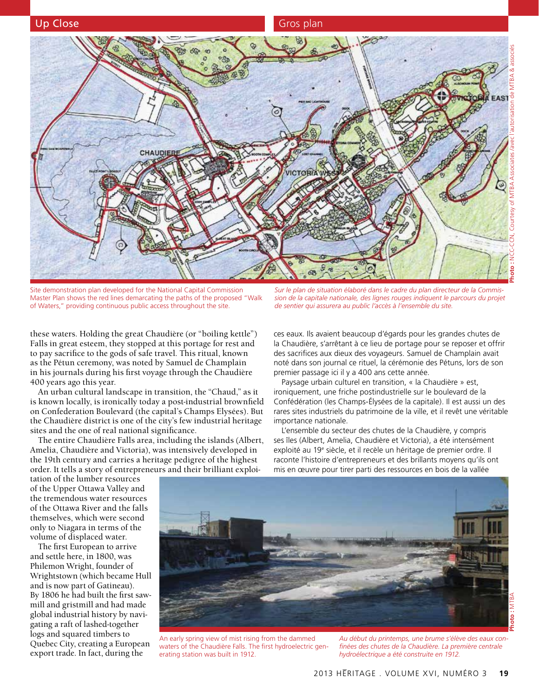

Site demonstration plan developed for the National Capital Commission Master Plan shows the red lines demarcating the paths of the proposed "Walk of Waters," providing continuous public access throughout the site.

these waters. Holding the great Chaudière (or "boiling kettle") Falls in great esteem, they stopped at this portage for rest and to pay sacrifice to the gods of safe travel. This ritual, known as the Pétun ceremony, was noted by Samuel de Champlain in his journals during his first voyage through the Chaudière 400 years ago this year.

An urban cultural landscape in transition, the "Chaud," as it is known locally, is ironically today a post-industrial brownfield on Confederation Boulevard (the capital's Champs Elysées). But the Chaudière district is one of the city's few industrial heritage sites and the one of real national significance.

The entire Chaudière Falls area, including the islands (Albert, Amelia, Chaudière and Victoria), was intensively developed in the 19th century and carries a heritage pedigree of the highest order. It tells a story of entrepreneurs and their brilliant exploi-

*Sur le plan de situation élaboré dans le cadre du plan directeur de la Commission de la capitale nationale, des lignes rouges indiquent le parcours du projet de sentier qui assurera au public l'accès à l'ensemble du site.*

ces eaux. Ils avaient beaucoup d'égards pour les grandes chutes de la Chaudière, s'arrêtant à ce lieu de portage pour se reposer et offrir des sacrifices aux dieux des voyageurs. Samuel de Champlain avait noté dans son journal ce rituel, la cérémonie des Pétuns, lors de son premier passage ici il y a 400 ans cette année.

Paysage urbain culturel en transition, « la Chaudière » est, ironiquement, une friche postindustrielle sur le boulevard de la Confédération (les Champs-Élysées de la capitale). Il est aussi un des rares sites industriels du patrimoine de la ville, et il revêt une véritable importance nationale.

L'ensemble du secteur des chutes de la Chaudière, y compris ses îles (Albert, Amelia, Chaudière et Victoria), a été intensément exploité au 19<sup>e</sup> siècle, et il recèle un héritage de premier ordre. Il raconte l'histoire d'entrepreneurs et des brillants moyens qu'ils ont mis en œuvre pour tirer parti des ressources en bois de la vallée

tation of the lumber resources of the Upper Ottawa Valley and the tremendous water resources of the Ottawa River and the falls themselves, which were second only to Niagara in terms of the volume of displaced water.

The first European to arrive and settle here, in 1800, was Philemon Wright, founder of Wrightstown (which became Hull and is now part of Gatineau). By 1806 he had built the first sawmill and gristmill and had made global industrial history by navigating a raft of lashed-together logs and squared timbers to Quebec City, creating a European export trade. In fact, during the



*Au début du printemps, une brume s'élève des eaux confinées des chutes de la Chaudière. La première centrale hydroélectrique a été construite en 1912.*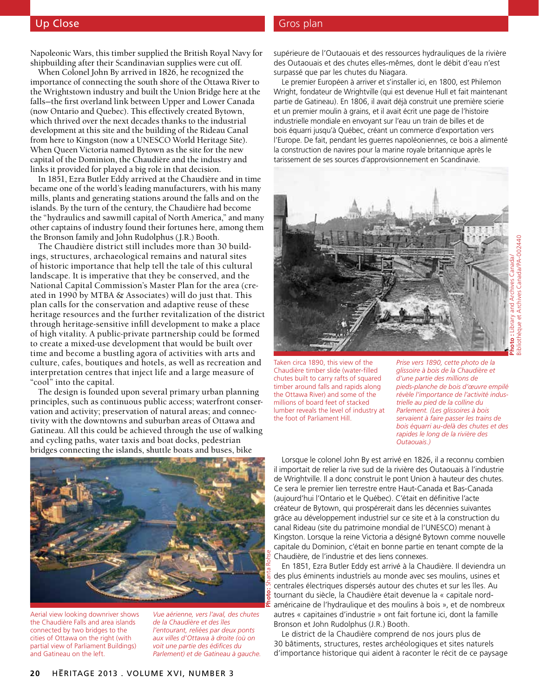## Up Close Gros plan and Close Gros plan

Napoleonic Wars, this timber supplied the British Royal Navy for shipbuilding after their Scandinavian supplies were cut off.

When Colonel John By arrived in 1826, he recognized the importance of connecting the south shore of the Ottawa River to the Wrightstown industry and built the Union Bridge here at the falls—the first overland link between Upper and Lower Canada (now Ontario and Quebec). This effectively created Bytown, which thrived over the next decades thanks to the industrial development at this site and the building of the Rideau Canal from here to Kingston (now a UNESCO World Heritage Site). When Queen Victoria named Bytown as the site for the new capital of the Dominion, the Chaudière and the industry and links it provided for played a big role in that decision.

In 1851, Ezra Butler Eddy arrived at the Chaudière and in time became one of the world's leading manufacturers, with his many mills, plants and generating stations around the falls and on the islands. By the turn of the century, the Chaudière had become the "hydraulics and sawmill capital of North America," and many other captains of industry found their fortunes here, among them the Bronson family and John Rudolphus (J.R.) Booth.

The Chaudière district still includes more than 30 buildings, structures, archaeological remains and natural sites of historic importance that help tell the tale of this cultural landscape. It is imperative that they be conserved, and the National Capital Commission's Master Plan for the area (created in 1990 by MTBA & Associates) will do just that. This plan calls for the conservation and adaptive reuse of these heritage resources and the further revitalization of the district through heritage-sensitive infill development to make a place of high vitality. A public-private partnership could be formed to create a mixed-use development that would be built over time and become a bustling agora of activities with arts and culture, cafes, boutiques and hotels, as well as recreation and interpretation centres that inject life and a large measure of "cool" into the capital.

The design is founded upon several primary urban planning principles, such as continuous public access; waterfront conservation and activity; preservation of natural areas; and connectivity with the downtowns and suburban areas of Ottawa and Gatineau. All this could be achieved through the use of walking and cycling paths, water taxis and boat docks, pedestrian bridges connecting the islands, shuttle boats and buses, bike

supérieure de l'Outaouais et des ressources hydrauliques de la rivière des Outaouais et des chutes elles-mêmes, dont le débit d'eau n'est surpassé que par les chutes du Niagara.

Le premier Européen à arriver et s'installer ici, en 1800, est Philemon Wright, fondateur de Wrightville (qui est devenue Hull et fait maintenant partie de Gatineau). En 1806, il avait déjà construit une première scierie et un premier moulin à grains, et il avait écrit une page de l'histoire industrielle mondiale en envoyant sur l'eau un train de billes et de bois équarri jusqu'à Québec, créant un commerce d'exportation vers l'Europe. De fait, pendant les guerres napoléoniennes, ce bois a alimenté la construction de navires pour la marine royale britannique après le tarissement de ses sources d'approvisionnement en Scandinavie.



Bibliothèque et Archives Canada/PA-002440

èque et Archives Canada/PA-002440

Taken circa 1890, this view of the Chaudière timber slide (water-filled chutes built to carry rafts of squared timber around falls and rapids along the Ottawa River) and some of the millions of board feet of stacked lumber reveals the level of industry at the foot of Parliament Hill.

*Prise vers 1890, cette photo de la glissoire à bois de la Chaudière et d'une partie des millions de pieds-planche de bois d'œuvre empilé révèle l'importance de l'activité industrielle au pied de la colline du Parlement. (Les glissoires à bois servaient à faire passer les trains de bois équarri au-delà des chutes et des rapides le long de la rivière des Outaouais.)*



Aerial view looking downriver shows the Chaudière Falls and area islands connected by two bridges to the cities of Ottawa on the right (with partial view of Parliament Buildings) and Gatineau on the left.

*Vue aérienne, vers l'aval, des chutes de la Chaudière et des îles l'entourant, reliées par deux ponts aux villes d'Ottawa à droite (où on voit une partie des édifices du Parlement) et de Gatineau à gauche.*

Lorsque le colonel John By est arrivé en 1826, il a reconnu combien il importait de relier la rive sud de la rivière des Outaouais à l'industrie de Wrightville. Il a donc construit le pont Union à hauteur des chutes. Ce sera le premier lien terrestre entre Haut-Canada et Bas-Canada (aujourd'hui l'Ontario et le Québec). C'était en définitive l'acte créateur de Bytown, qui prospérerait dans les décennies suivantes grâce au développement industriel sur ce site et à la construction du canal Rideau (site du patrimoine mondial de l'UNESCO) menant à Kingston. Lorsque la reine Victoria a désigné Bytown comme nouvelle

Chaudière, de l'industrie et des liens connexes. En 1851, Ezra Butler Eddy est arrivé à la Chaudière. Il deviendra un des plus éminents industriels au monde avec ses moulins, usines et centrales électriques dispersés autour des chutes et sur les îles. Au tournant du siècle, la Chaudière était devenue la « capitale nordaméricaine de l'hydraulique et des moulins à bois », et de nombreux autres « capitaines d'industrie » ont fait fortune ici, dont la famille Bronson et John Rudolphus (J.R.) Booth.

capitale du Dominion, c'était en bonne partie en tenant compte de la

Le district de la Chaudière comprend de nos jours plus de 30 bâtiments, structures, restes archéologiques et sites naturels d'importance historique qui aident à raconter le récit de ce paysage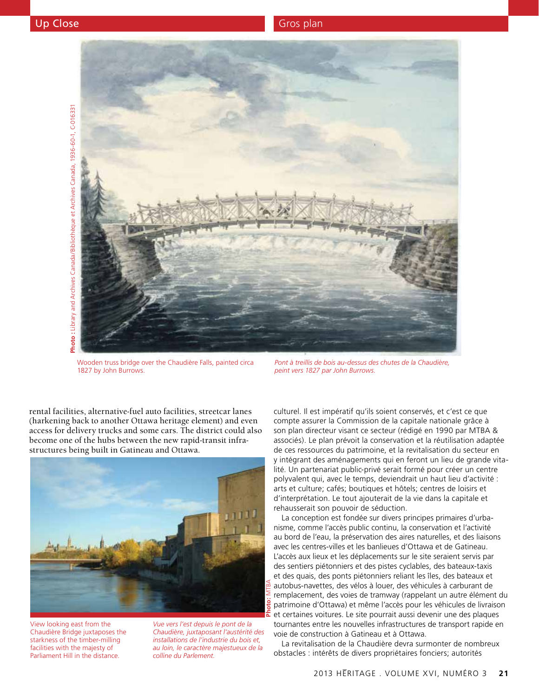

Wooden truss bridge over the Chaudière Falls, painted circa 1827 by John Burrows.

*Pont à treillis de bois au-dessus des chutes de la Chaudière, peint vers 1827 par John Burrows.*

rental facilities, alternative-fuel auto facilities, streetcar lanes (harkening back to another Ottawa heritage element) and even access for delivery trucks and some cars. The district could also become one of the hubs between the new rapid-transit infrastructures being built in Gatineau and Ottawa.



View looking east from the Chaudière Bridge juxtaposes the starkness of the timber-milling facilities with the majesty of Parliament Hill in the distance.

*Vue vers l'est depuis le pont de la Chaudière, juxtaposant l'austérité des installations de l'industrie du bois et, au loin, le caractère majestueux de la colline du Parlement.*

culturel. Il est impératif qu'ils soient conservés, et c'est ce que compte assurer la Commission de la capitale nationale grâce à son plan directeur visant ce secteur (rédigé en 1990 par MTBA & associés). Le plan prévoit la conservation et la réutilisation adaptée de ces ressources du patrimoine, et la revitalisation du secteur en y intégrant des aménagements qui en feront un lieu de grande vitalité. Un partenariat public-privé serait formé pour créer un centre polyvalent qui, avec le temps, deviendrait un haut lieu d'activité : arts et culture; cafés; boutiques et hôtels; centres de loisirs et d'interprétation. Le tout ajouterait de la vie dans la capitale et rehausserait son pouvoir de séduction.

La conception est fondée sur divers principes primaires d'urbanisme, comme l'accès public continu, la conservation et l'activité au bord de l'eau, la préservation des aires naturelles, et des liaisons avec les centres-villes et les banlieues d'Ottawa et de Gatineau. L'accès aux lieux et les déplacements sur le site seraient servis par des sentiers piétonniers et des pistes cyclables, des bateaux-taxis et des quais, des ponts piétonniers reliant les îles, des bateaux et autobus-navettes, des vélos à louer, des véhicules à carburant de remplacement, des voies de tramway (rappelant un autre élément du patrimoine d'Ottawa) et même l'accès pour les véhicules de livraison et certaines voitures. Le site pourrait aussi devenir une des plaques tournantes entre les nouvelles infrastructures de transport rapide en voie de construction à Gatineau et à Ottawa.

La revitalisation de la Chaudière devra surmonter de nombreux obstacles : intérêts de divers propriétaires fonciers; autorités